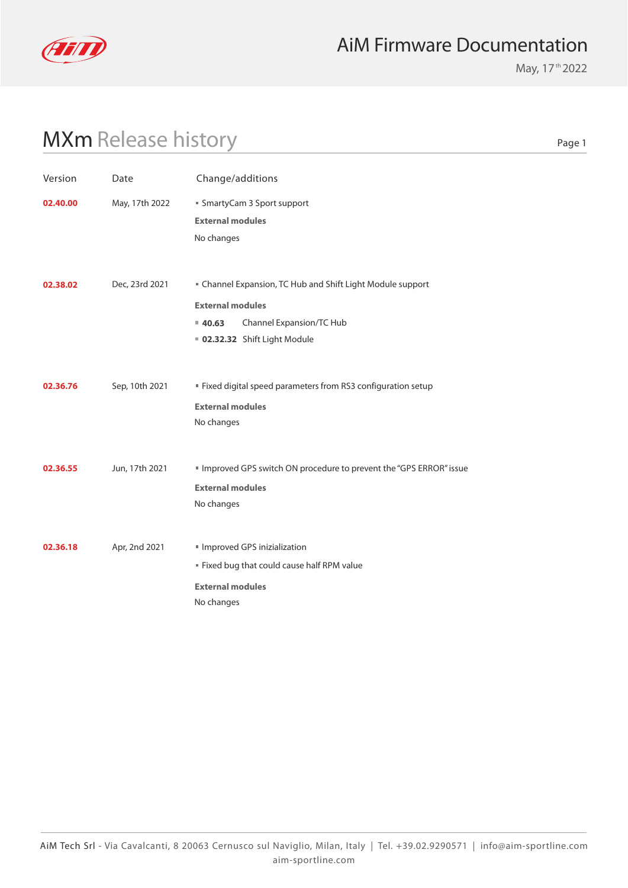

#### AiM Firmware Documentation

May, 17<sup>th</sup> 2022

# MXm Release history

| . .<br>۰.<br>×<br>×<br>۰. |  |
|---------------------------|--|
|---------------------------|--|

| Version  | Date           | Change/additions                                                  |
|----------|----------------|-------------------------------------------------------------------|
| 02.40.00 | May, 17th 2022 | ■ SmartyCam 3 Sport support<br><b>External modules</b>            |
|          |                | No changes                                                        |
| 02.38.02 | Dec, 23rd 2021 | " Channel Expansion, TC Hub and Shift Light Module support        |
|          |                | <b>External modules</b>                                           |
|          |                | Channel Expansion/TC Hub<br>40.63                                 |
|          |                | 02.32.32 Shift Light Module                                       |
| 02.36.76 | Sep, 10th 2021 | " Fixed digital speed parameters from RS3 configuration setup     |
|          |                | <b>External modules</b>                                           |
|          |                | No changes                                                        |
| 02.36.55 | Jun, 17th 2021 | Improved GPS switch ON procedure to prevent the "GPS ERROR" issue |
|          |                | <b>External modules</b>                                           |
|          |                | No changes                                                        |
| 02.36.18 | Apr, 2nd 2021  | Improved GPS inizialization                                       |
|          |                | " Fixed bug that could cause half RPM value                       |
|          |                | <b>External modules</b>                                           |
|          |                | No changes                                                        |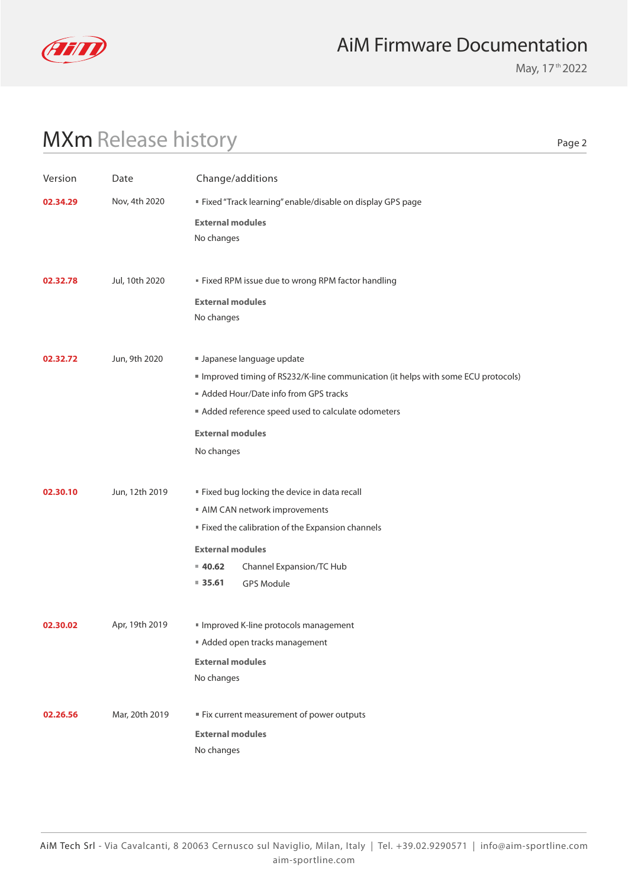

#### AiM Firmware Documentation

May, 17<sup>th</sup> 2022

# MXm Release history

Page 2

| Version  | Date           | Change/additions                                                                                                                                                                                                                                   |
|----------|----------------|----------------------------------------------------------------------------------------------------------------------------------------------------------------------------------------------------------------------------------------------------|
| 02.34.29 | Nov, 4th 2020  | " Fixed "Track learning" enable/disable on display GPS page                                                                                                                                                                                        |
|          |                | <b>External modules</b><br>No changes                                                                                                                                                                                                              |
| 02.32.78 | Jul, 10th 2020 | " Fixed RPM issue due to wrong RPM factor handling<br><b>External modules</b><br>No changes                                                                                                                                                        |
| 02.32.72 | Jun, 9th 2020  | Japanese language update<br>Improved timing of RS232/K-line communication (it helps with some ECU protocols)<br>Added Hour/Date info from GPS tracks<br>Added reference speed used to calculate odometers<br><b>External modules</b><br>No changes |
| 02.30.10 | Jun, 12th 2019 | " Fixed bug locking the device in data recall<br>AIM CAN network improvements<br>" Fixed the calibration of the Expansion channels<br><b>External modules</b><br>Channel Expansion/TC Hub<br>40.62<br>$\blacksquare$ 35.61<br><b>GPS Module</b>    |
| 02.30.02 | Apr, 19th 2019 | Improved K-line protocols management<br>Added open tracks management<br><b>External modules</b><br>No changes                                                                                                                                      |
| 02.26.56 | Mar, 20th 2019 | ■ Fix current measurement of power outputs<br><b>External modules</b><br>No changes                                                                                                                                                                |